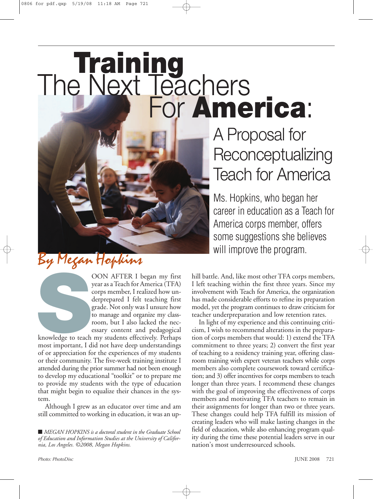# **Training** The Next Teachers For **America**:



Ms. Hopkins, who began her career in education as a Teach for America corps member, offers some suggestions she believes By Megan Hopkins

**SPOON AFTER I began my first**<br>year as a Teach for America (TFA)<br>corps member, I realized how un-<br>derprepared I felt teaching first<br>grade. Not only was I unsure how<br>to manage and organize my class-<br>room, but I also lacked year as a Teach for America (TFA) corps member, I realized how underprepared I felt teaching first grade. Not only was I unsure how to manage and organize my classroom, but I also lacked the necessary content and pedagogical

knowledge to teach my students effectively. Perhaps most important, I did not have deep understandings of or appreciation for the experiences of my students or their community. The five-week training institute I attended during the prior summer had not been enough to develop my educational "toolkit" or to prepare me to provide my students with the type of education that might begin to equalize their chances in the system.

Although I grew as an educator over time and am still committed to working in education, it was an up-

■ *MEGAN HOPKINS* is a doctoral student in the Graduate School *of Education and Information Studies at the University of California, Los Angeles. ©2008, Megan Hopkins.*

hill battle. And, like most other TFA corps members, I left teaching within the first three years. Since my involvement with Teach for America, the organization has made considerable efforts to refine its preparation model, yet the program continues to draw criticism for teacher underpreparation and low retention rates.

In light of my experience and this continuing criticism, I wish to recommend alterations in the preparation of corps members that would: 1) extend the TFA commitment to three years; 2) convert the first year of teaching to a residency training year, offering classroom training with expert veteran teachers while corps members also complete coursework toward certification; and 3) offer incentives for corps members to teach longer than three years. I recommend these changes with the goal of improving the effectiveness of corps members and motivating TFA teachers to remain in their assignments for longer than two or three years. These changes could help TFA fulfill its mission of creating leaders who will make lasting changes in the field of education, while also enhancing program quality during the time these potential leaders serve in our nation's most underresourced schools.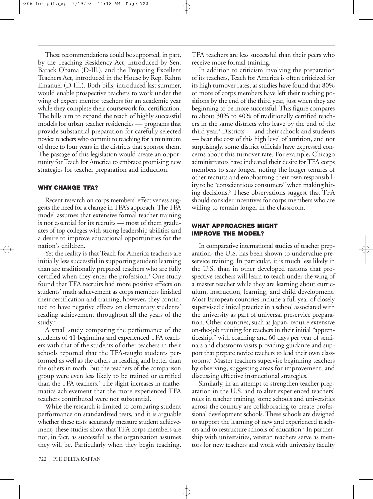These recommendations could be supported, in part, by the Teaching Residency Act, introduced by Sen. Barack Obama (D-Ill.), and the Preparing Excellent Teachers Act, introduced in the House by Rep. Rahm Emanuel (D-Ill.). Both bills, introduced last summer, would enable prospective teachers to work under the wing of expert mentor teachers for an academic year while they complete their coursework for certification. The bills aim to expand the reach of highly successful models for urban teacher residencies — programs that provide substantial preparation for carefully selected novice teachers who commit to teaching for a minimum of three to four years in the districts that sponsor them. The passage of this legislation would create an opportunity for Teach for America to embrace promising new strategies for teacher preparation and induction.

## **WHY CHANGE TFA?**

Recent research on corps members' effectiveness suggests the need for a change in TFA's approach. The TFA model assumes that extensive formal teacher training is not essential for its recruits — most of them graduates of top colleges with strong leadership abilities and a desire to improve educational opportunities for the nation's children.

Yet the reality is that Teach for America teachers are initially less successful in supporting student learning than are traditionally prepared teachers who are fully certified when they enter the profession.<sup>1</sup> One study found that TFA recruits had more positive effects on students' math achievement as corps members finished their certification and training; however, they continued to have negative effects on elementary students' reading achievement throughout all the years of the study.<sup>2</sup>

A small study comparing the performance of the students of 41 beginning and experienced TFA teachers with that of the students of other teachers in their schools reported that the TFA-taught students performed as well as the others in reading and better than the others in math. But the teachers of the comparison group were even less likely to be trained or certified than the TFA teachers.<sup>3</sup> The slight increases in mathematics achievement that the more experienced TFA teachers contributed were not substantial.

While the research is limited to comparing student performance on standardized tests, and it is arguable whether these tests accurately measure student achievement, these studies show that TFA corps members are not, in fact, as successful as the organization assumes they will be. Particularly when they begin teaching,

TFA teachers are less successful than their peers who receive more formal training.

In addition to criticism involving the preparation of its teachers, Teach for America is often criticized for its high turnover rates, as studies have found that 80% or more of corps members have left their teaching positions by the end of the third year, just when they are beginning to be more successful. This figure compares to about 30% to 40% of traditionally certified teachers in the same districts who leave by the end of the third year.4 Districts — and their schools and students — bear the cost of this high level of attrition, and not surprisingly, some district officials have expressed concerns about this turnover rate. For example, Chicago administrators have indicated their desire for TFA corps members to stay longer, noting the longer tenures of other recruits and emphasizing their own responsibility to be "conscientious consumers" when making hiring decisions.5 These observations suggest that TFA should consider incentives for corps members who are willing to remain longer in the classroom.

## **WHAT APPROACHES MIGHT IMPROVE THE MODEL?**

In comparative international studies of teacher preparation, the U.S. has been shown to undervalue preservice training. In particular, it is much less likely in the U.S. than in other developed nations that prospective teachers will learn to teach under the wing of a master teacher while they are learning about curriculum, instruction, learning, and child development. Most European countries include a full year of closely supervised clinical practice in a school associated with the university as part of universal preservice preparation. Other countries, such as Japan, require extensive on-the-job training for teachers in their initial "apprenticeship," with coaching and 60 days per year of seminars and classroom visits providing guidance and support that prepare novice teachers to lead their own classrooms.6 Master teachers supervise beginning teachers by observing, suggesting areas for improvement, and discussing effective instructional strategies.

Similarly, in an attempt to strengthen teacher preparation in the U.S. and to alter experienced teachers' roles in teacher training, some schools and universities across the country are collaborating to create professional development schools. These schools are designed to support the learning of new and experienced teachers and to restructure schools of education.<sup>7</sup> In partnership with universities, veteran teachers serve as mentors for new teachers and work with university faculty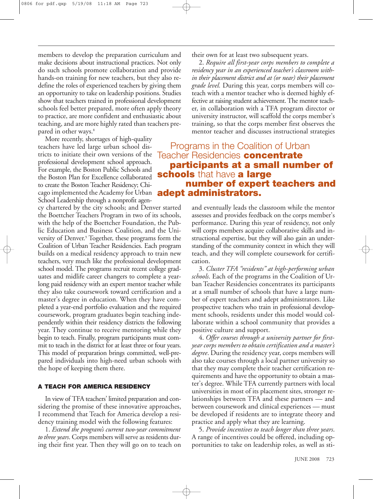members to develop the preparation curriculum and make decisions about instructional practices. Not only do such schools promote collaboration and provide hands-on training for new teachers, but they also redefine the roles of experienced teachers by giving them an opportunity to take on leadership positions. Studies show that teachers trained in professional development schools feel better prepared, more often apply theory to practice, are more confident and enthusiastic about teaching, and are more highly rated than teachers prepared in other ways.<sup>8</sup>

More recently, shortages of high-quality teachers have led large urban school districts to initiate their own versions of the professional development school approach. For example, the Boston Public Schools and the Boston Plan for Excellence collaborated to create the Boston Teacher Residency; Chicago implemented the Academy for Urban School Leadership through a nonprofit agen-

cy chartered by the city schools; and Denver started the Boettcher Teachers Program in two of its schools, with the help of the Boettcher Foundation, the Public Education and Business Coalition, and the University of Denver.<sup>9</sup> Together, these programs form the Coalition of Urban Teacher Residencies. Each program builds on a medical residency approach to train new teachers, very much like the professional development school model. The programs recruit recent college graduates and midlife career changers to complete a yearlong paid residency with an expert mentor teacher while they also take coursework toward certification and a master's degree in education. When they have completed a year-end portfolio evaluation and the required coursework, program graduates begin teaching independently within their residency districts the following year. They continue to receive mentoring while they begin to teach. Finally, program participants must commit to teach in the district for at least three or four years. This model of preparation brings committed, well-prepared individuals into high-need urban schools with the hope of keeping them there.

## **A TEACH FOR AMERICA RESIDENCY**

In view of TFA teachers' limited preparation and considering the promise of these innovative approaches, I recommend that Teach for America develop a residency training model with the following features:

1. *Extend the program's current two-year commitment to three years*. Corps members will serve as residents during their first year. Then they will go on to teach on

their own for at least two subsequent years.

2. *Require all first-year corps members to complete a residency year in an experienced teacher's classroom within their placement district and at (or near) their placement grade level.* During this year, corps members will coteach with a mentor teacher who is deemed highly effective at raising student achievement. The mentor teacher, in collaboration with a TFA program director or university instructor, will scaffold the corps member's training, so that the corps member first observes the mentor teacher and discusses instructional strategies

# Programs in the Coalition of Urban Teacher Residencies **concentrate participants at a small number of schools** that have **a large number of expert teachers and adept administrators.**

and eventually leads the classroom while the mentor assesses and provides feedback on the corps member's performance. During this year of residency, not only will corps members acquire collaborative skills and instructional expertise, but they will also gain an understanding of the community context in which they will teach, and they will complete coursework for certification.

3. *Cluster TFA "residents" at high-performing urban schools*. Each of the programs in the Coalition of Urban Teacher Residencies concentrates its participants at a small number of schools that have a large number of expert teachers and adept administrators. Like prospective teachers who train in professional development schools, residents under this model would collaborate within a school community that provides a positive culture and support.

4. *Offer courses through a university partner for firstyear corps members to obtain certification and a master's degree*. During the residency year, corps members will also take courses through a local partner university so that they may complete their teacher certification requirements and have the opportunity to obtain a master's degree. While TFA currently partners with local universities in most of its placement sites, stronger relationships between TFA and these partners — and between coursework and clinical experiences — must be developed if residents are to integrate theory and practice and apply what they are learning.

5. *Provide incentives to teach longer than three years*. A range of incentives could be offered, including opportunities to take on leadership roles, as well as sti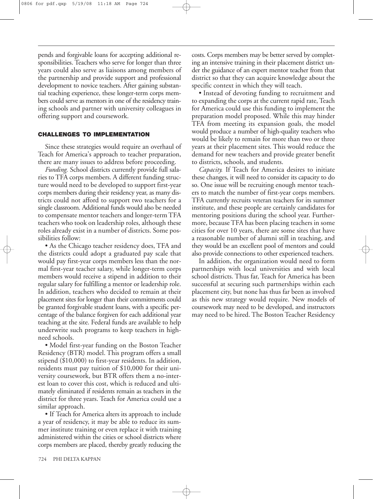pends and forgivable loans for accepting additional responsibilities. Teachers who serve for longer than three years could also serve as liaisons among members of the partnership and provide support and professional development to novice teachers. After gaining substantial teaching experience, these longer-term corps members could serve as mentors in one of the residency training schools and partner with university colleagues in offering support and coursework.

### **CHALLENGES TO IMPLEMENTATION**

Since these strategies would require an overhaul of Teach for America's approach to teacher preparation, there are many issues to address before proceeding.

*Funding.* School districts currently provide full salaries to TFA corps members. A different funding structure would need to be developed to support first-year corps members during their residency year, as many districts could not afford to support two teachers for a single classroom. Additional funds would also be needed to compensate mentor teachers and longer-term TFA teachers who took on leadership roles, although these roles already exist in a number of districts. Some possibilities follow:

• As the Chicago teacher residency does, TFA and the districts could adopt a graduated pay scale that would pay first-year corps members less than the normal first-year teacher salary, while longer-term corps members would receive a stipend in addition to their regular salary for fulfilling a mentor or leadership role. In addition, teachers who decided to remain at their placement sites for longer than their commitments could be granted forgivable student loans, with a specific percentage of the balance forgiven for each additional year teaching at the site. Federal funds are available to help underwrite such programs to keep teachers in highneed schools.

• Model first-year funding on the Boston Teacher Residency (BTR) model. This program offers a small stipend (\$10,000) to first-year residents. In addition, residents must pay tuition of \$10,000 for their university coursework, but BTR offers them a no-interest loan to cover this cost, which is reduced and ultimately eliminated if residents remain as teachers in the district for three years. Teach for America could use a similar approach.

• If Teach for America alters its approach to include a year of residency, it may be able to reduce its summer institute training or even replace it with training administered within the cities or school districts where corps members are placed, thereby greatly reducing the

costs. Corps members may be better served by completing an intensive training in their placement district under the guidance of an expert mentor teacher from that district so that they can acquire knowledge about the specific context in which they will teach.

• Instead of devoting funding to recruitment and to expanding the corps at the current rapid rate, Teach for America could use this funding to implement the preparation model proposed. While this may hinder TFA from meeting its expansion goals, the model would produce a number of high-quality teachers who would be likely to remain for more than two or three years at their placement sites. This would reduce the demand for new teachers and provide greater benefit to districts, schools, and students.

*Capacity.* If Teach for America desires to initiate these changes, it will need to consider its capacity to do so. One issue will be recruiting enough mentor teachers to match the number of first-year corps members. TFA currently recruits veteran teachers for its summer institute, and these people are certainly candidates for mentoring positions during the school year. Furthermore, because TFA has been placing teachers in some cities for over 10 years, there are some sites that have a reasonable number of alumni still in teaching, and they would be an excellent pool of mentors and could also provide connections to other experienced teachers.

In addition, the organization would need to form partnerships with local universities and with local school districts. Thus far, Teach for America has been successful at securing such partnerships within each placement city, but none has thus far been as involved as this new strategy would require. New models of coursework may need to be developed, and instructors may need to be hired. The Boston Teacher Residency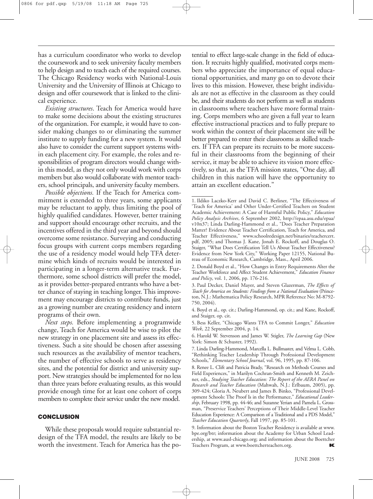has a curriculum coordinator who works to develop the coursework and to seek university faculty members to help design and to teach each of the required courses. The Chicago Residency works with National-Louis University and the University of Illinois at Chicago to design and offer coursework that is linked to the clinical experience.

*Existing structures*. Teach for America would have to make some decisions about the existing structures of the organization. For example, it would have to consider making changes to or eliminating the summer institute to supply funding for a new system. It would also have to consider the current support systems within each placement city. For example, the roles and responsibilities of program directors would change within this model, as they not only would work with corps members but also would collaborate with mentor teachers, school principals, and university faculty members.

*Possible objections.* If the Teach for America commitment is extended to three years, some applicants may be reluctant to apply, thus limiting the pool of highly qualified candidates. However, better training and support should encourage other recruits, and the incentives offered in the third year and beyond should overcome some resistance. Surveying and conducting focus groups with current corps members regarding the use of a residency model would help TFA determine which kinds of recruits would be interested in participating in a longer-term alternative track. Furthermore, some school districts will prefer the model, as it provides better-prepared entrants who have a better chance of staying in teaching longer. This improvement may encourage districts to contribute funds, just as a growing number are creating residency and intern programs of their own.

*Next steps.* Before implementing a programwide change, Teach for America would be wise to pilot the new strategy in one placement site and assess its effectiveness. Such a site should be chosen after assessing such resources as the availability of mentor teachers, the number of effective schools to serve as residency sites, and the potential for district and university support. New strategies should be implemented for no less than three years before evaluating results, as this would provide enough time for at least one cohort of corps members to complete their service under the new model.

#### **CONCLUSION**

While these proposals would require substantial redesign of the TFA model, the results are likely to be worth the investment. Teach for America has the potential to effect large-scale change in the field of education. It recruits highly qualified, motivated corps members who appreciate the importance of equal educational opportunities, and many go on to devote their lives to this mission. However, these bright individuals are not as effective in the classroom as they could be, and their students do not perform as well as students in classrooms where teachers have more formal training. Corps members who are given a full year to learn effective instructional practices and to fully prepare to work within the context of their placement site will be better prepared to enter their classrooms as skilled teachers. If TFA can prepare its recruits to be more successful in their classrooms from the beginning of their service, it may be able to achieve its vision more effectively, so that, as the TFA mission states, "One day, all children in this nation will have the opportunity to attain an excellent education."

5. Bess Keller, "Chicago Wants TFA to Commit Longer," *Education Week*, 22 September 2004, p. 14.

6. Harold W. Stevenson and James W. Stigler, *The Learning Gap* (New York: Simon & Schuster, 1992).

7. Linda Darling-Hammond, Marcella L. Bullmaster, and Velma L. Cobb, "Rethinking Teacher Leadership Through Professional Development Schools," *Elementary School Journal*, vol. 96, 1995, pp. 87-106.

8. Renee L. Clift and Patricia Brady, "Research on Methods Courses and Field Experiences," in Marilyn Cochran-Smith and Kenneth M. Zeichner, eds., *Studying Teacher Education: The Report of the AERA Panel on Research and Teacher Education* (Mahwah, N.J.: Erlbaum, 2005), pp. 309-424; Gloria A. Neubert and James B. Binko, "Professional Development Schools: The Proof Is in the Performance," *Educational Leadership*, February 1998, pp. 44-46; and Suzanne Yerian and Pamela L. Grossman, "Preservice Teachers' Perceptions of Their Middle-Level Teacher Education Experience: A Comparison of a Traditional and a PDS Model," *Teacher Education Quarterly*, Fall 1997, pp. 85-101.

9. Information about the Boston Teacher Residency is available at www. bpe.org/btr; information about the Academy for Urban School Leadership, at www.ausl-chicago.org; and information about the Boettcher Teachers Program, at www.boettcherteachers.org. **K**

<sup>1.</sup> Ildiko Laczko-Kerr and David C. Berliner, "The Effectiveness of 'Teach for America' and Other Under-Certified Teachers on Student Academic Achievement: A Case of Harmful Public Policy," *Education Policy Analysis Archives*, 6 September 2002, http://epaa.asu.edu/epaa/ v10n37; Linda Darling-Hammond et al., "Does Teacher Preparation Matter? Evidence About Teacher Certification, Teach for America, and Teacher Effectiveness," www.schoolredesign.net/binaries/teachercert. pdf, 2005; and Thomas J. Kane, Jonah E. Rockoff, and Douglas O. Staiger, "What Does Certification Tell Us About Teacher Effectiveness? Evidence from New York City," Working Paper 12155, National Bureau of Economic Research, Cambridge, Mass., April 2006.

<sup>2.</sup> Donald Boyd et al., "How Changes in Entry Requirements Alter the Teacher Workforce and Affect Student Achievement," *Education Finance and Policy*, vol. 1, 2006, pp. 176-216.

<sup>3.</sup> Paul Decker, Daniel Mayer, and Steven Glazerman, *The Effects of Teach for America on Students: Findings from a National Evaluation* (Princeton, N.J.: Mathematica Policy Research, MPR Reference No: M-8792- 750, 2004).

<sup>4.</sup> Boyd et al., op. cit.; Darling-Hammond, op. cit.; and Kane, Rockoff, and Staiger, op. cit.